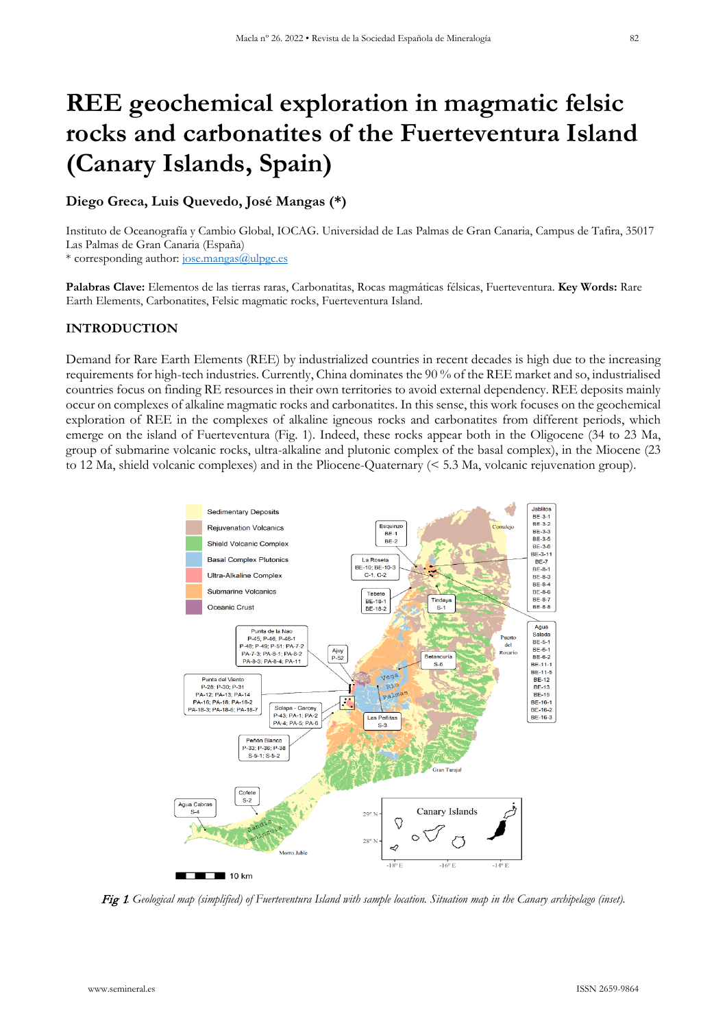# **REE geochemical exploration in magmatic felsic rocks and carbonatites of the Fuerteventura Island (Canary Islands, Spain)**

# **Diego Greca, Luis Quevedo, José Mangas (\*)**

Instituto de Oceanografía y Cambio Global, IOCAG. Universidad de Las Palmas de Gran Canaria, Campus de Tafira, 35017 Las Palmas de Gran Canaria (España)

\* corresponding author: [jose.mangas@ulpgc.es](mailto:jose.mangas@ulpgc.es)

**Palabras Clave:** Elementos de las tierras raras, Carbonatitas, Rocas magmáticas félsicas, Fuerteventura. **Key Words:** Rare Earth Elements, Carbonatites, Felsic magmatic rocks, Fuerteventura Island.

## **INTRODUCTION**

Demand for Rare Earth Elements (REE) by industrialized countries in recent decades is high due to the increasing requirements for high-tech industries. Currently, China dominates the 90 % of the REE market and so, industrialised countries focus on finding RE resources in their own territories to avoid external dependency. REE deposits mainly occur on complexes of alkaline magmatic rocks and carbonatites. In this sense, this work focuses on the geochemical exploration of REE in the complexes of alkaline igneous rocks and carbonatites from different periods, which emerge on the island of Fuerteventura (Fig. 1). Indeed, these rocks appear both in the Oligocene (34 to 23 Ma, group of submarine volcanic rocks, ultra-alkaline and plutonic complex of the basal complex), in the Miocene (23 to 12 Ma, shield volcanic complexes) and in the Pliocene-Quaternary (< 5.3 Ma, volcanic rejuvenation group).



Fig 1*. Geological map (simplified) of Fuerteventura Island with sample location. Situation map in the Canary archipelago (inset).*